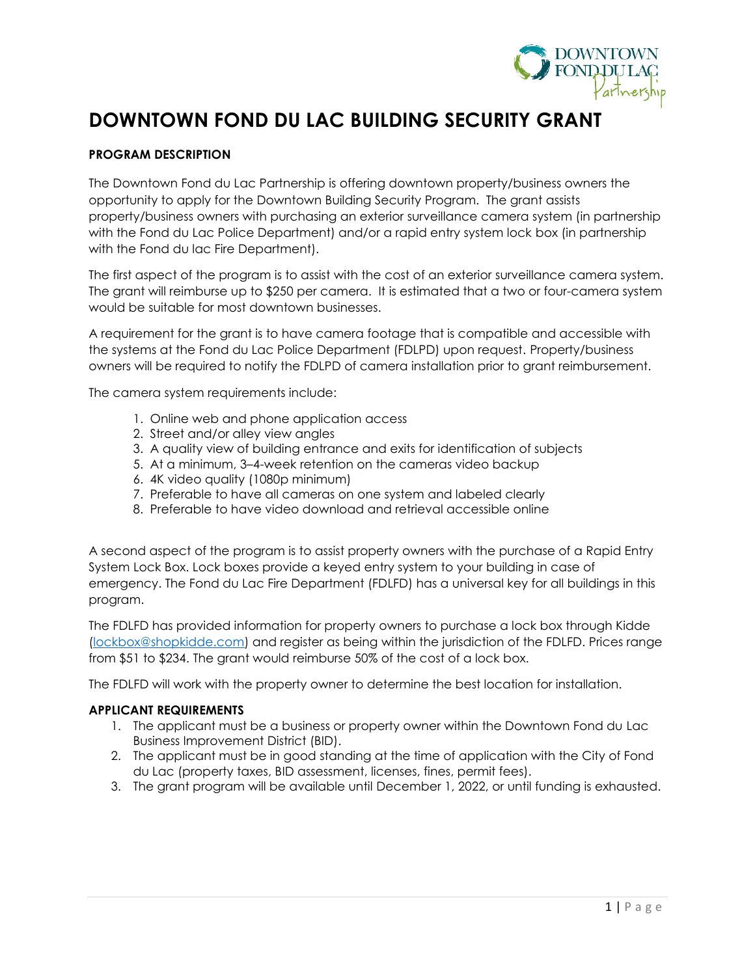

## **DOWNTOWN FOND DU LAC BUILDING SECURITY GRANT**

#### **PROGRAM DESCRIPTION**

The Downtown Fond du Lac Partnership is offering downtown property/business owners the opportunity to apply for the Downtown Building Security Program. The grant assists property/business owners with purchasing an exterior surveillance camera system (in partnership with the Fond du Lac Police Department) and/or a rapid entry system lock box (in partnership with the Fond du lac Fire Department).

The first aspect of the program is to assist with the cost of an exterior surveillance camera system. The grant will reimburse up to \$250 per camera. It is estimated that a two or four-camera system would be suitable for most downtown businesses.

A requirement for the grant is to have camera footage that is compatible and accessible with the systems at the Fond du Lac Police Department (FDLPD) upon request. Property/business owners will be required to notify the FDLPD of camera installation prior to grant reimbursement.

The camera system requirements include:

- 1. Online web and phone application access
- 2. Street and/or alley view angles
- 3. A quality view of building entrance and exits for identification of subjects
- 5. At a minimum, 3–4-week retention on the cameras video backup
- 6. 4K video quality (1080p minimum)
- 7. Preferable to have all cameras on one system and labeled clearly
- 8. Preferable to have video download and retrieval accessible online

A second aspect of the program is to assist property owners with the purchase of a Rapid Entry System Lock Box. Lock boxes provide a keyed entry system to your building in case of emergency. The Fond du Lac Fire Department (FDLFD) has a universal key for all buildings in this program.

The FDLFD has provided information for property owners to purchase a lock box through Kidde [\(lockbox@shopkidde.com\)](mailto:lockbox@shopkidde.com) and register as being within the jurisdiction of the FDLFD. Prices range from \$51 to \$234. The grant would reimburse 50% of the cost of a lock box.

The FDLFD will work with the property owner to determine the best location for installation.

#### **APPLICANT REQUIREMENTS**

- 1. The applicant must be a business or property owner within the Downtown Fond du Lac Business Improvement District (BID).
- 2. The applicant must be in good standing at the time of application with the City of Fond du Lac (property taxes, BID assessment, licenses, fines, permit fees).
- 3. The grant program will be available until December 1, 2022, or until funding is exhausted.